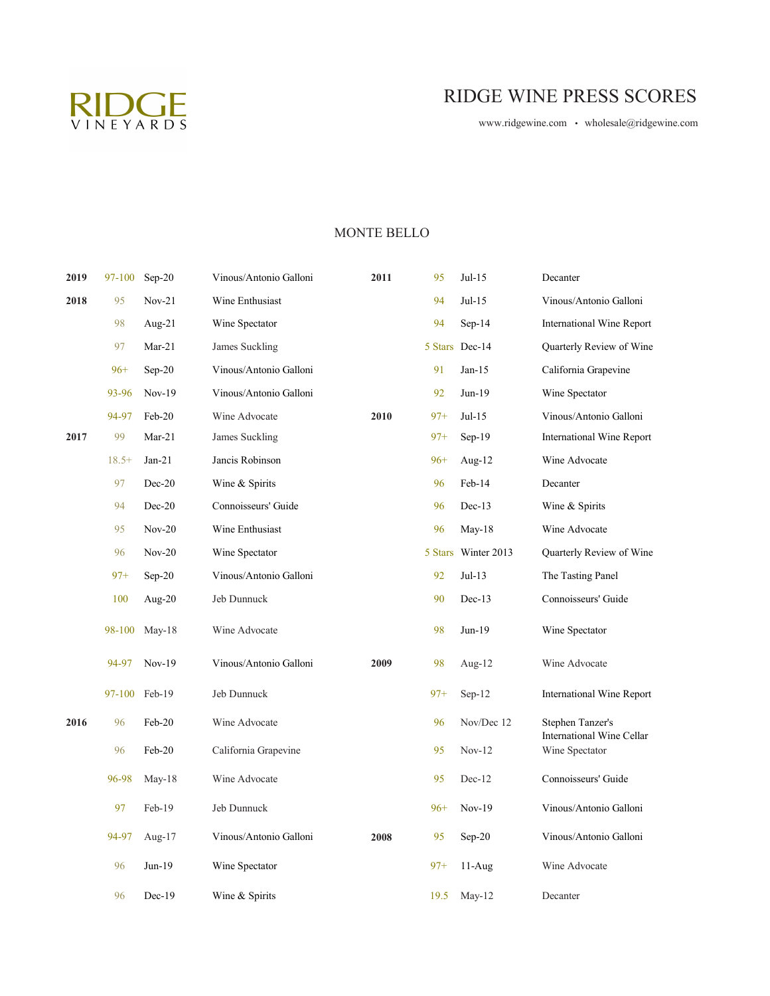

# RIDGE WINE PRESS SCORES

[www.ridgewine.com • wh](http://www.ridgewine.com/)olesale@ridgewine.com

# MONTE BELLO

| 2019 | 97-100  | $Sep-20$  | Vinous/Antonio Galloni | 2011 | 95     | $Jul-15$            | Decanter                                    |
|------|---------|-----------|------------------------|------|--------|---------------------|---------------------------------------------|
| 2018 | 95      | $Nov-21$  | Wine Enthusiast        |      | 94     | $Jul-15$            | Vinous/Antonio Galloni                      |
|      | 98      | Aug-21    | Wine Spectator         |      | 94     | $Sep-14$            | International Wine Report                   |
|      | 97      | $Mar-21$  | James Suckling         |      |        | 5 Stars Dec-14      | Quarterly Review of Wine                    |
|      | $96+$   | $Sep-20$  | Vinous/Antonio Galloni |      | 91     | $Jan-15$            | California Grapevine                        |
|      | 93-96   | $Nov-19$  | Vinous/Antonio Galloni |      | 92     | Jun-19              | Wine Spectator                              |
|      | 94-97   | Feb-20    | Wine Advocate          | 2010 | $97+$  | $Jul-15$            | Vinous/Antonio Galloni                      |
| 2017 | 99      | $Mar-21$  | James Suckling         |      | $97+$  | $Sep-19$            | International Wine Report                   |
|      | $18.5+$ | $Jan-21$  | Jancis Robinson        |      | $96+$  | Aug- $12$           | Wine Advocate                               |
|      | 97      | $Dec-20$  | Wine & Spirits         |      | 96     | Feb-14              | Decanter                                    |
|      | 94      | $Dec-20$  | Connoisseurs' Guide    |      | 96     | $Dec-13$            | Wine & Spirits                              |
|      | 95      | $Nov-20$  | Wine Enthusiast        |      | 96     | $May-18$            | Wine Advocate                               |
|      | 96      | $Nov-20$  | Wine Spectator         |      |        | 5 Stars Winter 2013 | Quarterly Review of Wine                    |
|      | $97+$   | $Sep-20$  | Vinous/Antonio Galloni |      | 92     | $Jul-13$            | The Tasting Panel                           |
|      | 100     | Aug- $20$ | Jeb Dunnuck            |      | 90     | $Dec-13$            | Connoisseurs' Guide                         |
|      | 98-100  | $May-18$  | Wine Advocate          |      | 98     | Jun-19              | Wine Spectator                              |
|      | 94-97   | $Nov-19$  | Vinous/Antonio Galloni | 2009 | 98     | Aug- $12$           | Wine Advocate                               |
|      | 97-100  | $Feb-19$  | Jeb Dunnuck            |      | $97 +$ | $Sep-12$            | International Wine Report                   |
| 2016 | 96      | Feb-20    | Wine Advocate          |      | 96     | Nov/Dec 12          | Stephen Tanzer's                            |
|      | 96      | Feb-20    | California Grapevine   |      | 95     | $Nov-12$            | International Wine Cellar<br>Wine Spectator |
|      | 96-98   | $May-18$  | Wine Advocate          |      | 95     | Dec-12              | Connoisseurs' Guide                         |
|      | 97      | $Feb-19$  | Jeb Dunnuck            |      | $96+$  | $Nov-19$            | Vinous/Antonio Galloni                      |
|      | 94-97   | Aug- $17$ | Vinous/Antonio Galloni | 2008 | 95     | $Sep-20$            | Vinous/Antonio Galloni                      |
|      | 96      | Jun-19    | Wine Spectator         |      | $97+$  | $11-Aug$            | Wine Advocate                               |
|      | 96      | $Dec-19$  | Wine & Spirits         |      | 19.5   | $May-12$            | Decanter                                    |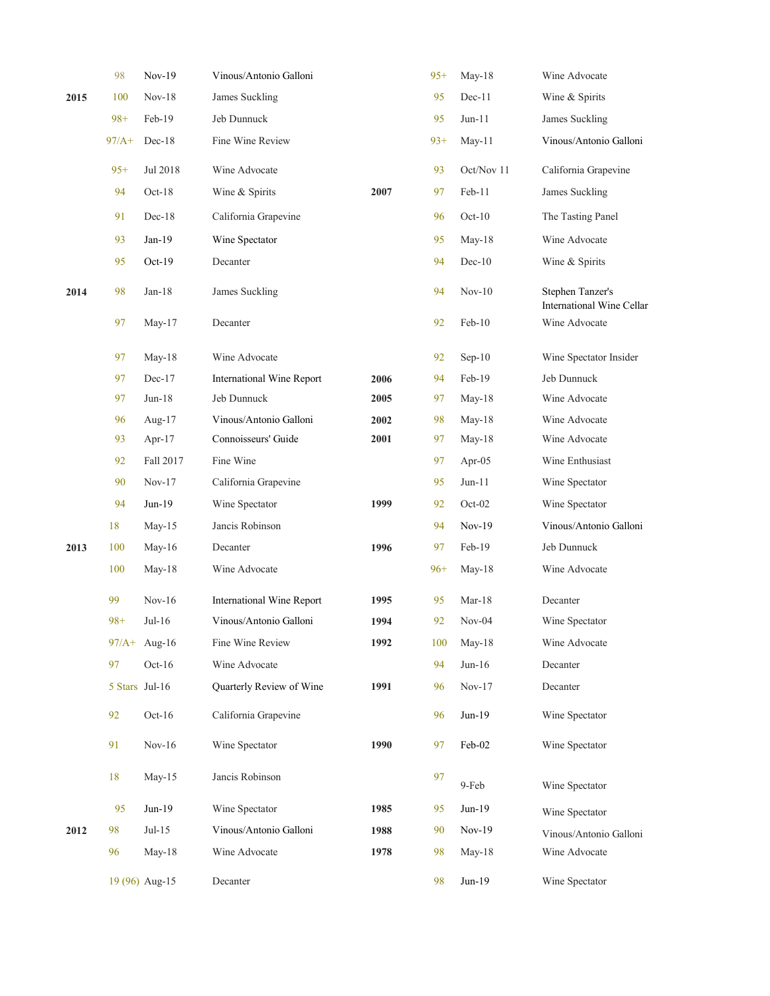|      | 98      | Nov-19                 | Vinous/Antonio Galloni    |      | $95+$ | $May-18$   | Wine Advocate                                 |
|------|---------|------------------------|---------------------------|------|-------|------------|-----------------------------------------------|
| 2015 | 100     | $Nov-18$               | James Suckling            |      | 95    | $Dec-11$   | Wine & Spirits                                |
|      | $98+$   | Feb-19                 | Jeb Dunnuck               |      | 95    | $Jun-11$   | James Suckling                                |
|      | $97/A+$ | $Dec-18$               | Fine Wine Review          |      | $93+$ | May-11     | Vinous/Antonio Galloni                        |
|      | $95+$   | Jul 2018               | Wine Advocate             |      | 93    | Oct/Nov 11 | California Grapevine                          |
|      | 94      | $Oct-18$               | Wine & Spirits            | 2007 | 97    | Feb-11     | James Suckling                                |
|      | 91      | $Dec-18$               | California Grapevine      |      | 96    | $Oct-10$   | The Tasting Panel                             |
|      | 93      | $Jan-19$               | Wine Spectator            |      | 95    | May-18     | Wine Advocate                                 |
|      | 95      | Oct-19                 | Decanter                  |      | 94    | $Dec-10$   | Wine & Spirits                                |
| 2014 | 98      | $Jan-18$               | James Suckling            |      | 94    | $Nov-10$   | Stephen Tanzer's<br>International Wine Cellar |
|      | 97      | May- $17$              | Decanter                  |      | 92    | Feb-10     | Wine Advocate                                 |
|      | 97      | May-18                 | Wine Advocate             |      | 92    | $Sep-10$   | Wine Spectator Insider                        |
|      | 97      | $Dec-17$               | International Wine Report | 2006 | 94    | Feb-19     | Jeb Dunnuck                                   |
|      | 97      | $Jun-18$               | Jeb Dunnuck               | 2005 | 97    | May-18     | Wine Advocate                                 |
|      | 96      | Aug-17                 | Vinous/Antonio Galloni    | 2002 | 98    | May-18     | Wine Advocate                                 |
|      | 93      | Apr-17                 | Connoisseurs' Guide       | 2001 | 97    | May- $18$  | Wine Advocate                                 |
|      | 92      | Fall 2017              | Fine Wine                 |      | 97    | Apr- $05$  | Wine Enthusiast                               |
|      | 90      | $Nov-17$               | California Grapevine      |      | 95    | $Jun-11$   | Wine Spectator                                |
|      | 94      | Jun-19                 | Wine Spectator            | 1999 | 92    | $Oct-02$   | Wine Spectator                                |
|      | 18      | $May-15$               | Jancis Robinson           |      | 94    | $Nov-19$   | Vinous/Antonio Galloni                        |
| 2013 | 100     | May-16                 | Decanter                  | 1996 | 97    | Feb-19     | Jeb Dunnuck                                   |
|      | 100     | May-18                 | Wine Advocate             |      | $96+$ | May- $18$  | Wine Advocate                                 |
|      | 99      | $Nov-16$               | International Wine Report | 1995 | 95    | $Mar-18$   | Decanter                                      |
|      | $98+$   | $Jul-16$               | Vinous/Antonio Galloni    | 1994 | 92    | $Nov-04$   | Wine Spectator                                |
|      |         | $97/A + \text{Aug-16}$ | Fine Wine Review          | 1992 | 100   | May-18     | Wine Advocate                                 |
|      | 97      | $Oct-16$               | Wine Advocate             |      | 94    | $Jun-16$   | Decanter                                      |
|      |         | 5 Stars Jul-16         | Quarterly Review of Wine  | 1991 | 96    | $Nov-17$   | Decanter                                      |
|      | 92      | $Oct-16$               | California Grapevine      |      | 96    | $Jun-19$   | Wine Spectator                                |
|      | 91      | $Nov-16$               | Wine Spectator            | 1990 | 97    | Feb-02     | Wine Spectator                                |
|      | 18      | $May-15$               | Jancis Robinson           |      | 97    | 9-Feb      | Wine Spectator                                |
|      | 95      | $Jun-19$               | Wine Spectator            | 1985 | 95    | $Jun-19$   | Wine Spectator                                |
| 2012 | 98      | $Jul-15$               | Vinous/Antonio Galloni    | 1988 | 90    | $Nov-19$   | Vinous/Antonio Galloni                        |
|      | 96      | May-18                 | Wine Advocate             | 1978 | 98    | May-18     | Wine Advocate                                 |
|      |         | 19 (96) Aug-15         | Decanter                  |      | 98    | $Jun-19$   | Wine Spectator                                |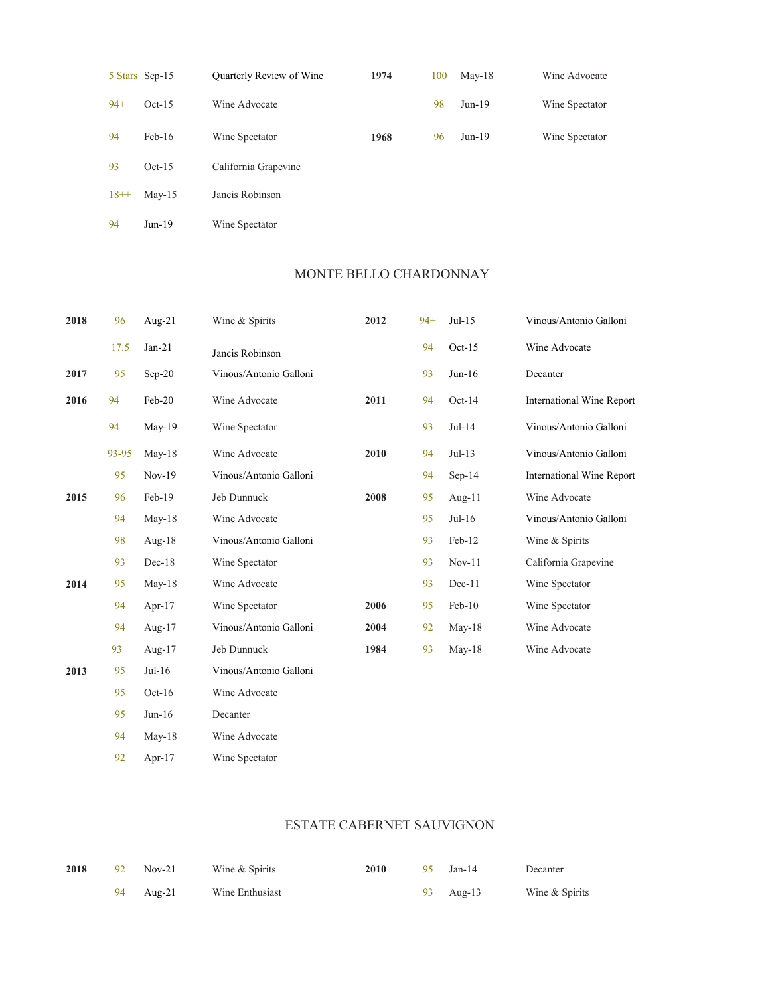|        | 5 Stars Sep-15 | Quarterly Review of Wine | 1974 | 100 | $May-18$ | Wine Advocate  |
|--------|----------------|--------------------------|------|-----|----------|----------------|
| $94+$  | $Oct-15$       | Wine Advocate            |      | 98  | $Jun-19$ | Wine Spectator |
| 94     | $Feb-16$       | Wine Spectator           | 1968 | 96  | $Jun-19$ | Wine Spectator |
| 93     | $Oct-15$       | California Grapevine     |      |     |          |                |
| $18++$ | $May-15$       | Jancis Robinson          |      |     |          |                |
| 94     | $Jun-19$       | Wine Spectator           |      |     |          |                |

# MONTE BELLO CHARDONNAY

| 2018 | 96    | Aug- $21$ | Wine & Spirits         | 2012 | $94+$ | $Jul-15$ | Vinous/Antonio Galloni           |
|------|-------|-----------|------------------------|------|-------|----------|----------------------------------|
|      | 17.5  | $Jan-21$  | Jancis Robinson        |      | 94    | $Oct-15$ | Wine Advocate                    |
| 2017 | 95    | $Sep-20$  | Vinous/Antonio Galloni |      | 93    | $Jun-16$ | Decanter                         |
| 2016 | 94    | Feb-20    | Wine Advocate          | 2011 | 94    | $Oct-14$ | <b>International Wine Report</b> |
|      | 94    | $May-19$  | Wine Spectator         |      | 93    | $Jul-14$ | Vinous/Antonio Galloni           |
|      | 93-95 | $May-18$  | Wine Advocate          | 2010 | 94    | $Jul-13$ | Vinous/Antonio Galloni           |
|      | 95    | $Nov-19$  | Vinous/Antonio Galloni |      | 94    | $Sep-14$ | <b>International Wine Report</b> |
| 2015 | 96    | Feb-19    | Jeb Dunnuck            | 2008 | 95    | Aug-11   | Wine Advocate                    |
|      | 94    | $May-18$  | Wine Advocate          |      | 95    | $Jul-16$ | Vinous/Antonio Galloni           |
|      | 98    | Aug- $18$ | Vinous/Antonio Galloni |      | 93    | Feb-12   | Wine & Spirits                   |
|      | 93    | $Dec-18$  | Wine Spectator         |      | 93    | $Nov-11$ | California Grapevine             |
| 2014 | 95    | $May-18$  | Wine Advocate          |      | 93    | $Dec-11$ | Wine Spectator                   |
|      | 94    | Apr- $17$ | Wine Spectator         | 2006 | 95    | Feb-10   | Wine Spectator                   |
|      | 94    | Aug- $17$ | Vinous/Antonio Galloni | 2004 | 92    | $May-18$ | Wine Advocate                    |
|      | $93+$ | Aug- $17$ | Jeb Dunnuck            | 1984 | 93    | $May-18$ | Wine Advocate                    |
| 2013 | 95    | $Jul-16$  | Vinous/Antonio Galloni |      |       |          |                                  |
|      | 95    | $Oct-16$  | Wine Advocate          |      |       |          |                                  |
|      | 95    | $Jun-16$  | Decanter               |      |       |          |                                  |
|      | 94    | May- $18$ | Wine Advocate          |      |       |          |                                  |

Apr-17 92 Wine Spectator

# ESTATE CABERNET SAUVIGNON

| 2018 | 92 Nov-21 | Wine & Spirits  | 2010 | 95 Jan-14 | Decanter       |
|------|-----------|-----------------|------|-----------|----------------|
|      | 94 Aug-21 | Wine Enthusiast |      | 93 Aug-13 | Wine & Spirits |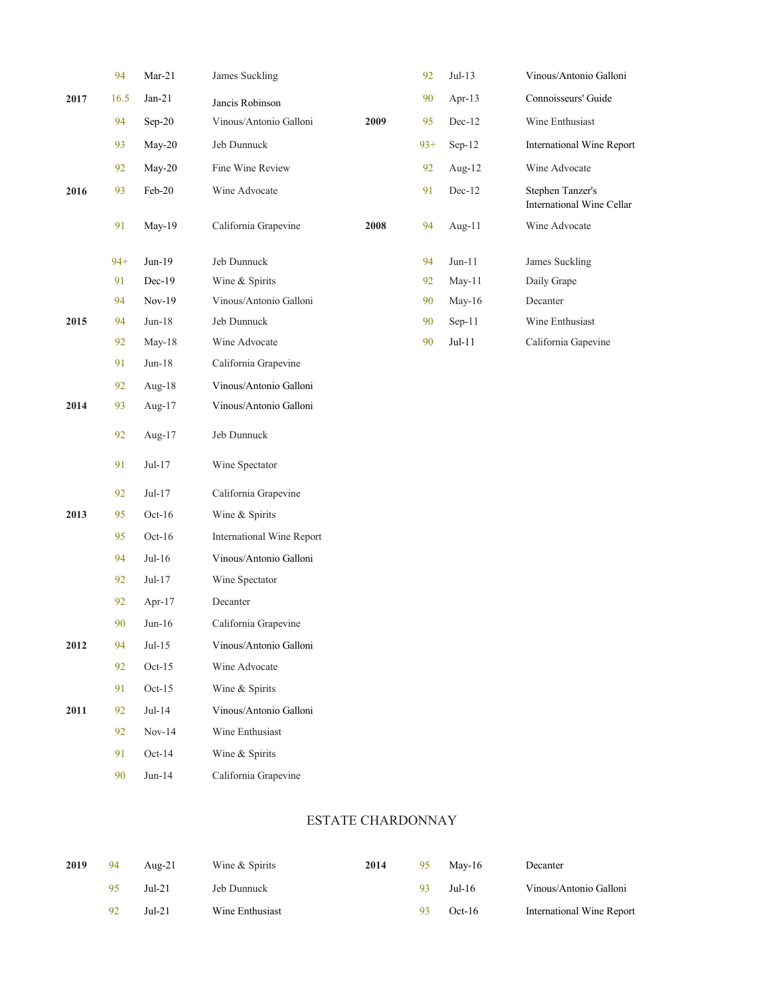|      | 94    | $Mar-21$ | James Suckling            |      | 92    | $Jul-13$ | Vinous/Antonio Galloni                        |
|------|-------|----------|---------------------------|------|-------|----------|-----------------------------------------------|
| 2017 | 16.5  | $Jan-21$ | Jancis Robinson           |      | 90    | Apr-13   | Connoisseurs' Guide                           |
|      | 94    | $Sep-20$ | Vinous/Antonio Galloni    | 2009 | 95    | $Dec-12$ | Wine Enthusiast                               |
|      | 93    | May-20   | Jeb Dunnuck               |      | $93+$ | $Sep-12$ | International Wine Report                     |
|      | 92    | May-20   | Fine Wine Review          |      | 92    | Aug-12   | Wine Advocate                                 |
| 2016 | 93    | Feb-20   | Wine Advocate             |      | 91    | $Dec-12$ | Stephen Tanzer's<br>International Wine Cellar |
|      | 91    | May-19   | California Grapevine      | 2008 | 94    | Aug-11   | Wine Advocate                                 |
|      | $94+$ | Jun-19   | Jeb Dunnuck               |      | 94    | $Jun-11$ | James Suckling                                |
|      | 91    | $Dec-19$ | Wine & Spirits            |      | 92    | May-11   | Daily Grape                                   |
|      | 94    | $Nov-19$ | Vinous/Antonio Galloni    |      | 90    | May-16   | Decanter                                      |
| 2015 | 94    | $Jun-18$ | Jeb Dunnuck               |      | 90    | $Sep-11$ | Wine Enthusiast                               |
|      | 92    | $May-18$ | Wine Advocate             |      | 90    | $Jul-11$ | California Gapevine                           |
|      | 91    | $Jun-18$ | California Grapevine      |      |       |          |                                               |
|      | 92    | Aug-18   | Vinous/Antonio Galloni    |      |       |          |                                               |
| 2014 | 93    | Aug-17   | Vinous/Antonio Galloni    |      |       |          |                                               |
|      | 92    | Aug-17   | Jeb Dunnuck               |      |       |          |                                               |
|      | 91    | $Jul-17$ | Wine Spectator            |      |       |          |                                               |
|      | 92    | $Jul-17$ | California Grapevine      |      |       |          |                                               |
| 2013 | 95    | $Oct-16$ | Wine & Spirits            |      |       |          |                                               |
|      | 95    | $Oct-16$ | International Wine Report |      |       |          |                                               |
|      | 94    | $Jul-16$ | Vinous/Antonio Galloni    |      |       |          |                                               |
|      | 92    | $Jul-17$ | Wine Spectator            |      |       |          |                                               |
|      | 92    | Apr-17   | Decanter                  |      |       |          |                                               |
|      | 90    | $Jun-16$ | California Grapevine      |      |       |          |                                               |
| 2012 | 94    | $Jul-15$ | Vinous/Antonio Galloni    |      |       |          |                                               |
|      | 92    | $Oct-15$ | Wine Advocate             |      |       |          |                                               |
|      | 91    | $Oct-15$ | Wine & Spirits            |      |       |          |                                               |
| 2011 | 92    | $Jul-14$ | Vinous/Antonio Galloni    |      |       |          |                                               |
|      | 92    | $Nov-14$ | Wine Enthusiast           |      |       |          |                                               |
|      | 91    | $Oct-14$ | Wine & Spirits            |      |       |          |                                               |
|      | 90    | $Jun-14$ | California Grapevine      |      |       |          |                                               |
|      |       |          |                           |      |       |          |                                               |

# ESTATE CHARDONNAY

| 2019 | 94  | Aug- $21$ | Wine & Spirits  | 2014 | 95 | May-16   | Decanter                  |
|------|-----|-----------|-----------------|------|----|----------|---------------------------|
|      | 95  | $Jul-21$  | Jeb Dunnuck     |      |    | $Jul-16$ | Vinous/Antonio Galloni    |
|      | -92 | $Jul-21$  | Wine Enthusiast |      |    | $Oct-16$ | International Wine Report |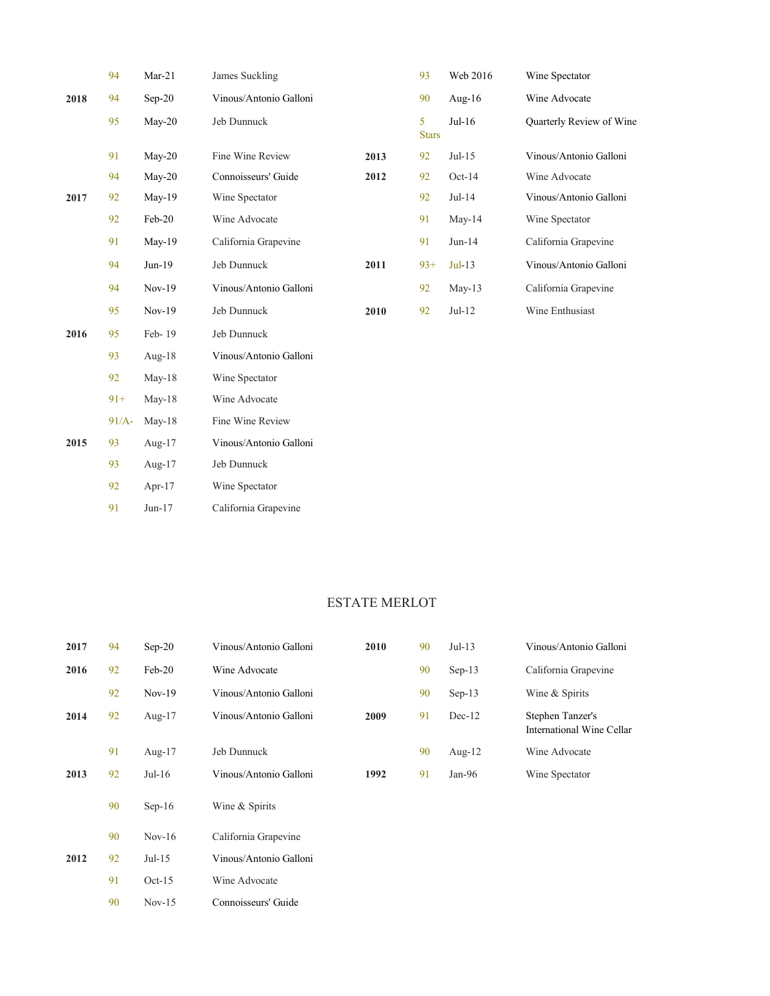|      | 94       | $Mar-21$  | James Suckling         |      | 93                | Web 2016  | Wine Spectator           |
|------|----------|-----------|------------------------|------|-------------------|-----------|--------------------------|
| 2018 | 94       | $Sep-20$  | Vinous/Antonio Galloni |      | 90                | Aug- $16$ | Wine Advocate            |
|      | 95       | $May-20$  | Jeb Dunnuck            |      | 5<br><b>Stars</b> | $Jul-16$  | Quarterly Review of Wine |
|      | 91       | $May-20$  | Fine Wine Review       | 2013 | 92                | $Jul-15$  | Vinous/Antonio Galloni   |
|      | 94       | $May-20$  | Connoisseurs' Guide    | 2012 | 92                | $Oct-14$  | Wine Advocate            |
| 2017 | 92       | $May-19$  | Wine Spectator         |      | 92                | $Jul-14$  | Vinous/Antonio Galloni   |
|      | 92       | Feb-20    | Wine Advocate          |      | 91                | $May-14$  | Wine Spectator           |
|      | 91       | $May-19$  | California Grapevine   |      | 91                | $Jun-14$  | California Grapevine     |
|      | 94       | Jun-19    | Jeb Dunnuck            | 2011 | $93+$             | $Jul-13$  | Vinous/Antonio Galloni   |
|      | 94       | $Nov-19$  | Vinous/Antonio Galloni |      | 92                | $May-13$  | California Grapevine     |
|      | 95       | $Nov-19$  | Jeb Dunnuck            | 2010 | 92                | $Jul-12$  | Wine Enthusiast          |
| 2016 | 95       | Feb-19    | Jeb Dunnuck            |      |                   |           |                          |
|      | 93       | Aug- $18$ | Vinous/Antonio Galloni |      |                   |           |                          |
|      | 92       | $May-18$  | Wine Spectator         |      |                   |           |                          |
|      | $91+$    | $May-18$  | Wine Advocate          |      |                   |           |                          |
|      | $91/A$ - | $May-18$  | Fine Wine Review       |      |                   |           |                          |
| 2015 | 93       | Aug-17    | Vinous/Antonio Galloni |      |                   |           |                          |
|      | 93       | Aug-17    | Jeb Dunnuck            |      |                   |           |                          |
|      | 92       | Apr- $17$ | Wine Spectator         |      |                   |           |                          |

Jun-17 91 Jun-17 California Grapevine

Nov-15

Connoisseurs' Guide

90

### ESTATE MERLOT

| 2017 | 94 | $Sep-20$  | Vinous/Antonio Galloni | 2010 | 90 | $Jul-13$  | Vinous/Antonio Galloni                        |
|------|----|-----------|------------------------|------|----|-----------|-----------------------------------------------|
| 2016 | 92 | $Feb-20$  | Wine Advocate          |      | 90 | $Sep-13$  | California Grapevine                          |
|      | 92 | $Nov-19$  | Vinous/Antonio Galloni |      | 90 | $Sep-13$  | Wine & Spirits                                |
| 2014 | 92 | Aug- $17$ | Vinous/Antonio Galloni | 2009 | 91 | $Dec-12$  | Stephen Tanzer's<br>International Wine Cellar |
|      | 91 | Aug-17    | Jeb Dunnuck            |      | 90 | Aug- $12$ | Wine Advocate                                 |
| 2013 | 92 | $Jul-16$  | Vinous/Antonio Galloni | 1992 | 91 | Jan- $96$ | Wine Spectator                                |
|      | 90 | $Sep-16$  | Wine & Spirits         |      |    |           |                                               |
|      | 90 | $Nov-16$  | California Grapevine   |      |    |           |                                               |
| 2012 | 92 | $Jul-15$  | Vinous/Antonio Galloni |      |    |           |                                               |
|      | 91 | $Oct-15$  | Wine Advocate          |      |    |           |                                               |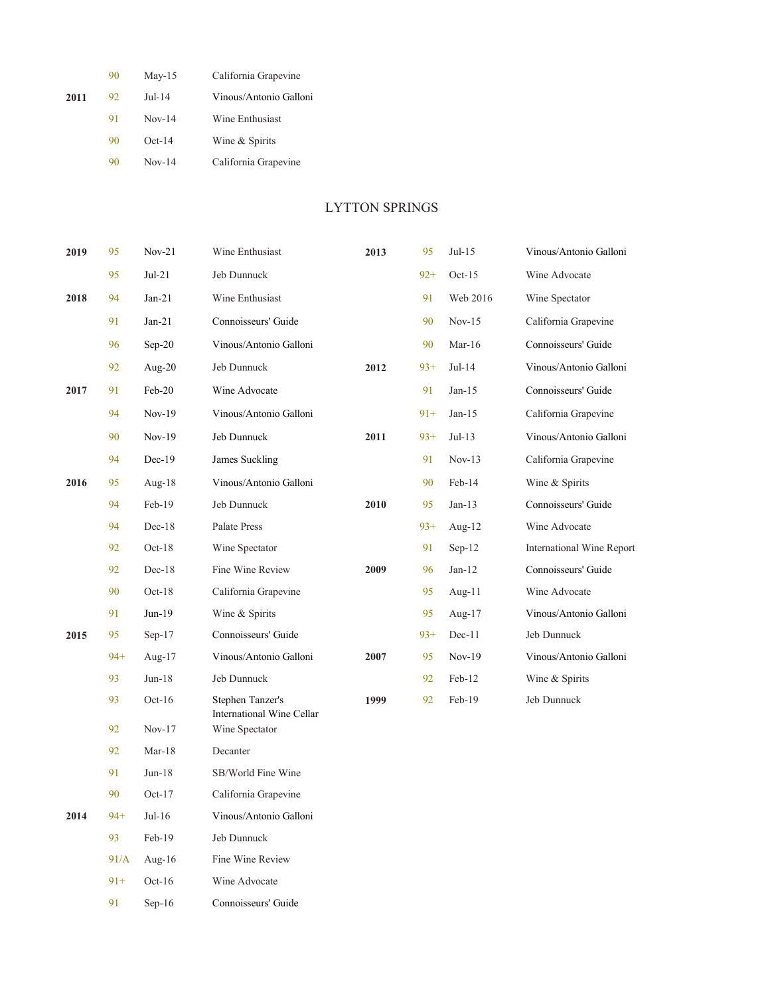|      | 90 | $May-15$ | California Grapevine   |
|------|----|----------|------------------------|
| 2011 | 92 | $Jul-14$ | Vinous/Antonio Galloni |
|      | 91 | $Nov-14$ | Wine Enthusiast        |
|      | 90 | $Oct-14$ | Wine & Spirits         |
|      | 90 | $Nov-14$ | California Grapevine   |

91 Sep-16

Connoisseurs' Guide

### LYTTON SPRINGS

| 2019 | 95    | $Nov-21$             | Wine Enthusiast                               | 2013 | 95    | $Jul-15$  | Vinous/Antonio Galloni    |
|------|-------|----------------------|-----------------------------------------------|------|-------|-----------|---------------------------|
|      | 95    | $Jul-21$             | Jeb Dunnuck                                   |      | $92+$ | $Oct-15$  | Wine Advocate             |
| 2018 | 94    | $Jan-21$             | Wine Enthusiast                               |      | 91    | Web 2016  | Wine Spectator            |
|      | 91    | $Jan-21$             | Connoisseurs' Guide                           |      | 90    | $Nov-15$  | California Grapevine      |
|      | 96    | $Sep-20$             | Vinous/Antonio Galloni                        |      | 90    | $Mar-16$  | Connoisseurs' Guide       |
|      | 92    | Aug- $20$            | Jeb Dunnuck                                   | 2012 | $93+$ | $Jul-14$  | Vinous/Antonio Galloni    |
| 2017 | 91    | Feb-20               | Wine Advocate                                 |      | 91    | $Jan-15$  | Connoisseurs' Guide       |
|      | 94    | $Nov-19$             | Vinous/Antonio Galloni                        |      | $91+$ | $Jan-15$  | California Grapevine      |
|      | 90    | $Nov-19$             | Jeb Dunnuck                                   | 2011 | $93+$ | $Jul-13$  | Vinous/Antonio Galloni    |
|      | 94    | $Dec-19$             | James Suckling                                |      | 91    | $Nov-13$  | California Grapevine      |
| 2016 | 95    | Aug- $18$            | Vinous/Antonio Galloni                        |      | 90    | Feb-14    | Wine & Spirits            |
|      | 94    | $Feb-19$             | Jeb Dunnuck                                   | 2010 | 95    | $Jan-13$  | Connoisseurs' Guide       |
|      | 94    | $Dec-18$             | Palate Press                                  |      | $93+$ | Aug-12    | Wine Advocate             |
|      | 92    | $Oct-18$             | Wine Spectator                                |      | 91    | $Sep-12$  | International Wine Report |
|      | 92    | $Dec-18$             | Fine Wine Review                              | 2009 | 96    | $Jan-12$  | Connoisseurs' Guide       |
|      | 90    | $Oct-18$             | California Grapevine                          |      | 95    | Aug- $11$ | Wine Advocate             |
|      | 91    | $Jun-19$             | Wine & Spirits                                |      | 95    | Aug- $17$ | Vinous/Antonio Galloni    |
| 2015 | 95    | $Sep-17$             | Connoisseurs' Guide                           |      | $93+$ | $Dec-11$  | Jeb Dunnuck               |
|      | $94+$ | Aug- $17$            | Vinous/Antonio Galloni                        | 2007 | 95    | $Nov-19$  | Vinous/Antonio Galloni    |
|      | 93    | $Jun-18$             | Jeb Dunnuck                                   |      | 92    | Feb-12    | Wine & Spirits            |
|      | 93    | $Oct-16$             | Stephen Tanzer's<br>International Wine Cellar | 1999 | 92    | Feb-19    | Jeb Dunnuck               |
|      | 92    | $Nov-17$             | Wine Spectator                                |      |       |           |                           |
|      | 92    | $Mar-18$<br>$Jun-18$ | Decanter<br>SB/World Fine Wine                |      |       |           |                           |
|      | 91    |                      |                                               |      |       |           |                           |
|      | 90    | $Oct-17$             | California Grapevine                          |      |       |           |                           |
| 2014 | $94+$ | $Jul-16$             | Vinous/Antonio Galloni                        |      |       |           |                           |
|      | 93    | $Feb-19$             | Jeb Dunnuck                                   |      |       |           |                           |
|      | 91/A  | Aug- $16$            | Fine Wine Review                              |      |       |           |                           |
|      | $91+$ | $Oct-16$             | Wine Advocate                                 |      |       |           |                           |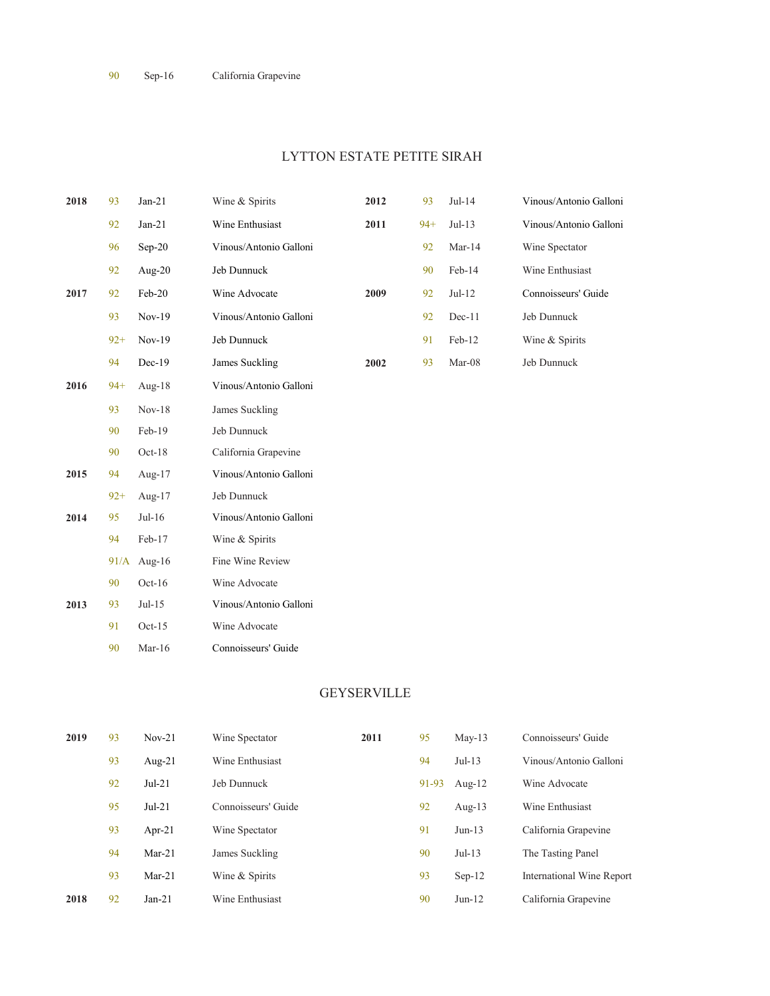# LYTTON ESTATE PETITE SIRAH

| 2018 | 93    | $Jan-21$    | Wine & Spirits         | 2012 | 93    | $Jul-14$ | Vinous/Antonio Galloni |
|------|-------|-------------|------------------------|------|-------|----------|------------------------|
|      | 92    | $Jan-21$    | Wine Enthusiast        | 2011 | $94+$ | $Jul-13$ | Vinous/Antonio Galloni |
|      | 96    | $Sep-20$    | Vinous/Antonio Galloni |      | 92    | $Mar-14$ | Wine Spectator         |
|      | 92    | Aug-20      | Jeb Dunnuck            |      | 90    | Feb-14   | Wine Enthusiast        |
| 2017 | 92    | Feb-20      | Wine Advocate          | 2009 | 92    | $Jul-12$ | Connoisseurs' Guide    |
|      | 93    | $Nov-19$    | Vinous/Antonio Galloni |      | 92    | $Dec-11$ | Jeb Dunnuck            |
|      | $92+$ | $Nov-19$    | Jeb Dunnuck            |      | 91    | Feb-12   | Wine & Spirits         |
|      | 94    | $Dec-19$    | James Suckling         | 2002 | 93    | Mar-08   | Jeb Dunnuck            |
| 2016 | $94+$ | Aug- $18$   | Vinous/Antonio Galloni |      |       |          |                        |
|      | 93    | $Nov-18$    | James Suckling         |      |       |          |                        |
|      | 90    | Feb-19      | Jeb Dunnuck            |      |       |          |                        |
|      | 90    | $Oct-18$    | California Grapevine   |      |       |          |                        |
| 2015 | 94    | Aug-17      | Vinous/Antonio Galloni |      |       |          |                        |
|      | $92+$ | Aug- $17$   | Jeb Dunnuck            |      |       |          |                        |
| 2014 | 95    | $Jul-16$    | Vinous/Antonio Galloni |      |       |          |                        |
|      | 94    | Feb-17      | Wine & Spirits         |      |       |          |                        |
|      |       | 91/A Aug-16 | Fine Wine Review       |      |       |          |                        |
|      | 90    | $Oct-16$    | Wine Advocate          |      |       |          |                        |
| 2013 | 93    | $Jul-15$    | Vinous/Antonio Galloni |      |       |          |                        |
|      | 91    | $Oct-15$    | Wine Advocate          |      |       |          |                        |
|      | 90    | Mar- $16$   | Connoisseurs' Guide    |      |       |          |                        |

# GEYSERVILLE

| 2019 | 93 | $Nov-21$  | Wine Spectator      | 2011 | 95    | $May-13$  | Connoisseurs' Guide              |
|------|----|-----------|---------------------|------|-------|-----------|----------------------------------|
|      | 93 | Aug- $21$ | Wine Enthusiast     |      | 94    | $Jul-13$  | Vinous/Antonio Galloni           |
|      | 92 | $Jul-21$  | Jeb Dunnuck         |      | 91-93 | Aug- $12$ | Wine Advocate                    |
|      | 95 | $Jul-21$  | Connoisseurs' Guide |      | 92    | Aug-13    | Wine Enthusiast                  |
|      | 93 | Apr-21    | Wine Spectator      |      | 91    | $Jun-13$  | California Grapevine             |
|      | 94 | $Mar-21$  | James Suckling      |      | 90    | $Jul-13$  | The Tasting Panel                |
|      | 93 | $Mar-21$  | Wine & Spirits      |      | 93    | $Sep-12$  | <b>International Wine Report</b> |
| 2018 | 92 | $Jan-21$  | Wine Enthusiast     |      | 90    | $Jun-12$  | California Grapevine             |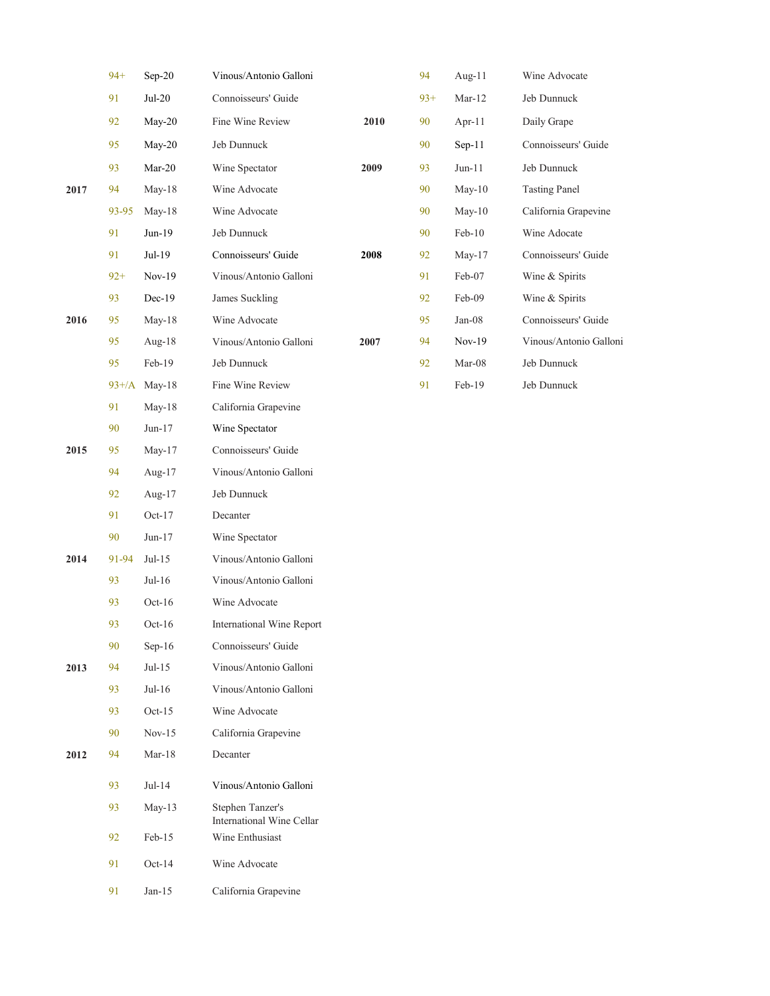|      | $94+$   | Sep-20    | Vinous/Antonio Galloni                        |      | 94    | Aug-11    | Wine Advocate          |
|------|---------|-----------|-----------------------------------------------|------|-------|-----------|------------------------|
|      | 91      | $Jul-20$  | Connoisseurs' Guide                           |      | $93+$ | $Mar-12$  | Jeb Dunnuck            |
|      | 92      | May-20    | Fine Wine Review                              | 2010 | 90    | Apr- $11$ | Daily Grape            |
|      | 95      | May-20    | Jeb Dunnuck                                   |      | 90    | $Sep-11$  | Connoisseurs' Guide    |
|      | 93      | $Mar-20$  | Wine Spectator                                | 2009 | 93    | $Jun-11$  | Jeb Dunnuck            |
| 2017 | 94      | May-18    | Wine Advocate                                 |      | 90    | $May-10$  | <b>Tasting Panel</b>   |
|      | 93-95   | May-18    | Wine Advocate                                 |      | 90    | $May-10$  | California Grapevine   |
|      | 91      | Jun-19    | Jeb Dunnuck                                   |      | 90    | $Feb-10$  | Wine Adocate           |
|      | 91      | Jul-19    | Connoisseurs' Guide                           | 2008 | 92    | May-17    | Connoisseurs' Guide    |
|      | $92+$   | $Nov-19$  | Vinous/Antonio Galloni                        |      | 91    | Feb-07    | Wine & Spirits         |
|      | 93      | $Dec-19$  | James Suckling                                |      | 92    | Feb-09    | Wine & Spirits         |
| 2016 | 95      | May-18    | Wine Advocate                                 |      | 95    | $Jan-08$  | Connoisseurs' Guide    |
|      | 95      | Aug-18    | Vinous/Antonio Galloni                        | 2007 | 94    | $Nov-19$  | Vinous/Antonio Galloni |
|      | 95      | Feb-19    | Jeb Dunnuck                                   |      | 92    | Mar-08    | Jeb Dunnuck            |
|      | $93+/A$ | May-18    | Fine Wine Review                              |      | 91    | Feb-19    | Jeb Dunnuck            |
|      | 91      | May-18    | California Grapevine                          |      |       |           |                        |
|      | 90      | $Jun-17$  | Wine Spectator                                |      |       |           |                        |
| 2015 | 95      | May-17    | Connoisseurs' Guide                           |      |       |           |                        |
|      | 94      | Aug- $17$ | Vinous/Antonio Galloni                        |      |       |           |                        |
|      | 92      | Aug-17    | Jeb Dunnuck                                   |      |       |           |                        |
|      | 91      | $Oct-17$  | Decanter                                      |      |       |           |                        |
|      | 90      | $Jun-17$  | Wine Spectator                                |      |       |           |                        |
| 2014 | 91-94   | $Jul-15$  | Vinous/Antonio Galloni                        |      |       |           |                        |
|      | 93      | $Jul-16$  | Vinous/Antonio Galloni                        |      |       |           |                        |
|      | 93      | $Oct-16$  | Wine Advocate                                 |      |       |           |                        |
|      | 93      | $Oct-16$  | International Wine Report                     |      |       |           |                        |
|      | 90      | $Sep-16$  | Connoisseurs' Guide                           |      |       |           |                        |
| 2013 | 94      | $Jul-15$  | Vinous/Antonio Galloni                        |      |       |           |                        |
|      | 93      | $Jul-16$  | Vinous/Antonio Galloni                        |      |       |           |                        |
|      | 93      | $Oct-15$  | Wine Advocate                                 |      |       |           |                        |
|      | 90      | $Nov-15$  | California Grapevine                          |      |       |           |                        |
| 2012 | 94      | Mar-18    | Decanter                                      |      |       |           |                        |
|      | 93      | $Jul-14$  | Vinous/Antonio Galloni                        |      |       |           |                        |
|      | 93      | $May-13$  | Stephen Tanzer's<br>International Wine Cellar |      |       |           |                        |
|      | 92      | Feb-15    | Wine Enthusiast                               |      |       |           |                        |
|      | 91      | $Oct-14$  | Wine Advocate                                 |      |       |           |                        |
|      | 91      | $Jan-15$  | California Grapevine                          |      |       |           |                        |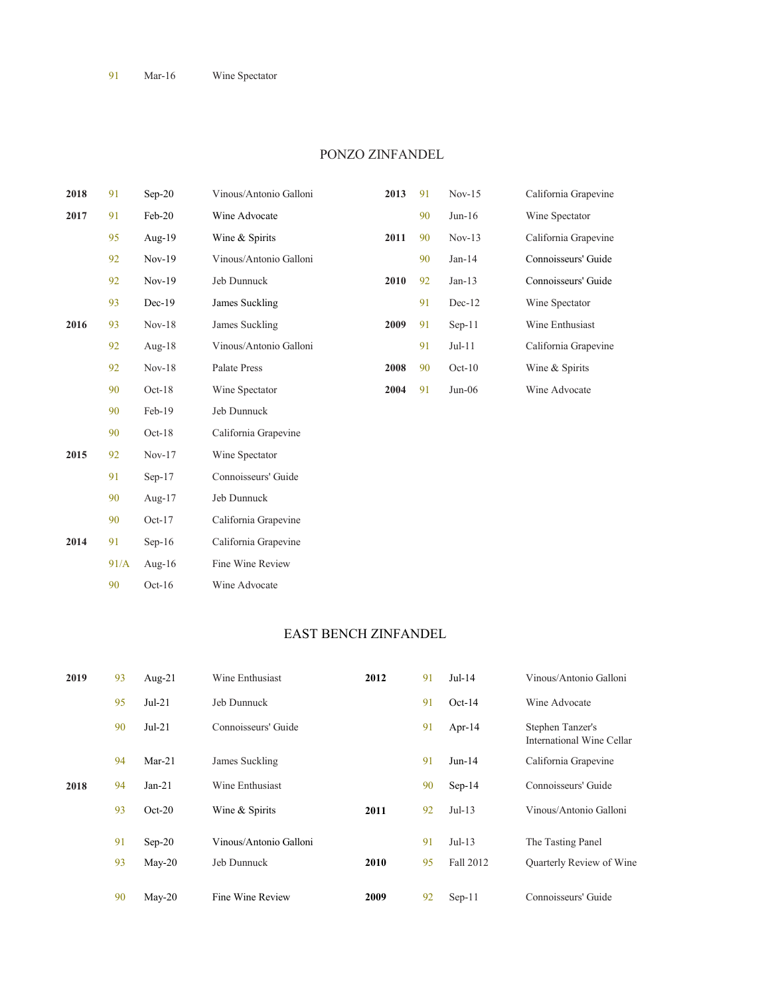#### PONZO ZINFANDEL

| 2018 | 91   | $Sep-20$  | Vinous/Antonio Galloni | 2013 | 91 | $Nov-15$ | California Grapevine |
|------|------|-----------|------------------------|------|----|----------|----------------------|
| 2017 | 91   | Feb-20    | Wine Advocate          |      | 90 | $Jun-16$ | Wine Spectator       |
|      | 95   | Aug-19    | Wine & Spirits         | 2011 | 90 | $Nov-13$ | California Grapevine |
|      | 92   | $Nov-19$  | Vinous/Antonio Galloni |      | 90 | $Jan-14$ | Connoisseurs' Guide  |
|      | 92   | $Nov-19$  | Jeb Dunnuck            | 2010 | 92 | $Jan-13$ | Connoisseurs' Guide  |
|      | 93   | $Dec-19$  | James Suckling         |      | 91 | Dec-12   | Wine Spectator       |
| 2016 | 93   | $Nov-18$  | James Suckling         | 2009 | 91 | $Sep-11$ | Wine Enthusiast      |
|      | 92   | Aug-18    | Vinous/Antonio Galloni |      | 91 | $Jul-11$ | California Grapevine |
|      | 92   | $Nov-18$  | Palate Press           | 2008 | 90 | $Oct-10$ | Wine & Spirits       |
|      | 90   | $Oct-18$  | Wine Spectator         | 2004 | 91 | $Jun-06$ | Wine Advocate        |
|      | 90   | Feb-19    | Jeb Dunnuck            |      |    |          |                      |
|      | 90   | $Oct-18$  | California Grapevine   |      |    |          |                      |
| 2015 | 92   | $Nov-17$  | Wine Spectator         |      |    |          |                      |
|      | 91   | $Sep-17$  | Connoisseurs' Guide    |      |    |          |                      |
|      | 90   | Aug- $17$ | Jeb Dunnuck            |      |    |          |                      |
|      | 90   | $Oct-17$  | California Grapevine   |      |    |          |                      |
| 2014 | 91   | $Sep-16$  | California Grapevine   |      |    |          |                      |
|      | 91/A | Aug- $16$ | Fine Wine Review       |      |    |          |                      |
|      | 90   | $Oct-16$  | Wine Advocate          |      |    |          |                      |

#### EAST BENCH ZINFANDEL

| 2019 | 93 | Aug- $21$ | Wine Enthusiast        | 2012 | 91 | $Jul-14$  | Vinous/Antonio Galloni                        |
|------|----|-----------|------------------------|------|----|-----------|-----------------------------------------------|
|      | 95 | $Jul-21$  | Jeb Dunnuck            |      | 91 | $Oct-14$  | Wine Advocate                                 |
|      | 90 | $Jul-21$  | Connoisseurs' Guide    |      | 91 | Apr-14    | Stephen Tanzer's<br>International Wine Cellar |
|      | 94 | $Mar-21$  | James Suckling         |      | 91 | $Jun-14$  | California Grapevine                          |
| 2018 | 94 | $Jan-21$  | Wine Enthusiast        |      | 90 | $Sep-14$  | Connoisseurs' Guide                           |
|      | 93 | $Oct-20$  | Wine & Spirits         | 2011 | 92 | $Jul-13$  | Vinous/Antonio Galloni                        |
|      | 91 | $Sep-20$  | Vinous/Antonio Galloni |      | 91 | $Jul-13$  | The Tasting Panel                             |
|      | 93 | $May-20$  | Jeb Dunnuck            | 2010 | 95 | Fall 2012 | Quarterly Review of Wine                      |
|      | 90 | $May-20$  | Fine Wine Review       | 2009 | 92 | $Sep-11$  | Connoisseurs' Guide                           |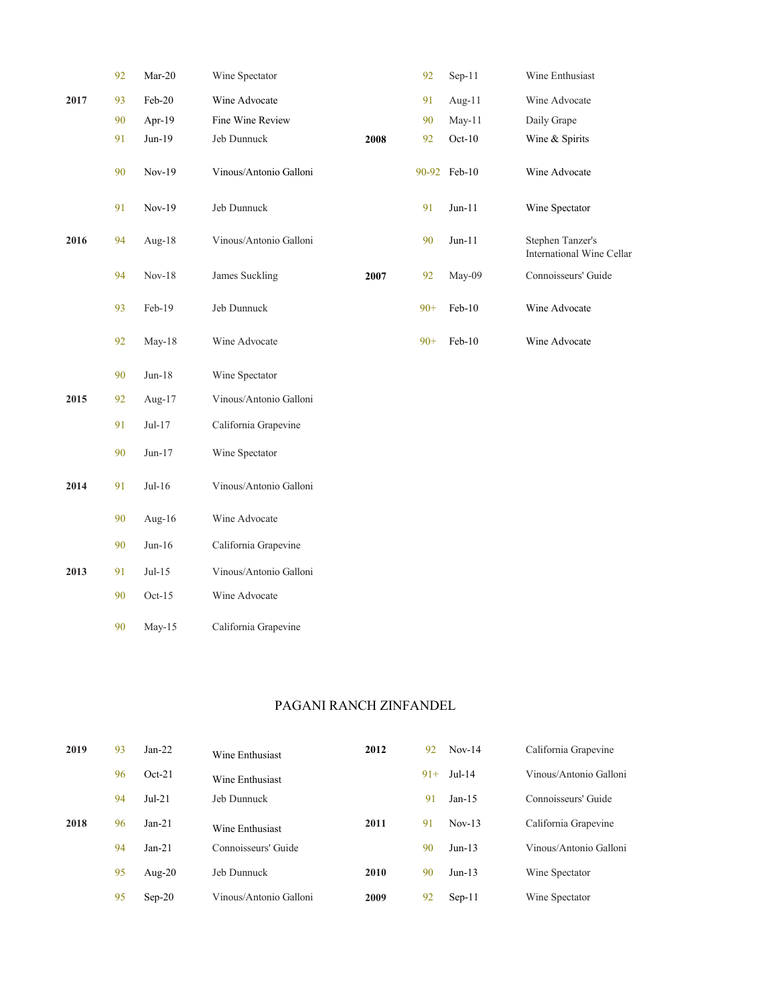|      | 92 | $Mar-20$  | Wine Spectator         |      | 92    | Sep-11       | Wine Enthusiast                               |
|------|----|-----------|------------------------|------|-------|--------------|-----------------------------------------------|
| 2017 | 93 | Feb-20    | Wine Advocate          |      | 91    | Aug- $11$    | Wine Advocate                                 |
|      | 90 | Apr-19    | Fine Wine Review       |      | 90    | May-11       | Daily Grape                                   |
|      | 91 | $Jun-19$  | Jeb Dunnuck            | 2008 | 92    | $Oct-10$     | Wine & Spirits                                |
|      | 90 | Nov-19    | Vinous/Antonio Galloni |      |       | 90-92 Feb-10 | Wine Advocate                                 |
|      | 91 | Nov-19    | Jeb Dunnuck            |      | 91    | $Jun-11$     | Wine Spectator                                |
| 2016 | 94 | Aug- $18$ | Vinous/Antonio Galloni |      | 90    | $Jun-11$     | Stephen Tanzer's<br>International Wine Cellar |
|      | 94 | $Nov-18$  | James Suckling         | 2007 | 92    | May-09       | Connoisseurs' Guide                           |
|      | 93 | Feb-19    | Jeb Dunnuck            |      | $90+$ | $Feb-10$     | Wine Advocate                                 |
|      | 92 | May-18    | Wine Advocate          |      | $90+$ | $Feb-10$     | Wine Advocate                                 |
|      | 90 | $Jun-18$  | Wine Spectator         |      |       |              |                                               |
| 2015 | 92 | Aug-17    | Vinous/Antonio Galloni |      |       |              |                                               |
|      | 91 | $Jul-17$  | California Grapevine   |      |       |              |                                               |
|      | 90 | $Jun-17$  | Wine Spectator         |      |       |              |                                               |
| 2014 | 91 | $Jul-16$  | Vinous/Antonio Galloni |      |       |              |                                               |
|      | 90 | Aug-16    | Wine Advocate          |      |       |              |                                               |
|      | 90 | $Jun-16$  | California Grapevine   |      |       |              |                                               |
| 2013 | 91 | $Jul-15$  | Vinous/Antonio Galloni |      |       |              |                                               |
|      | 90 | $Oct-15$  | Wine Advocate          |      |       |              |                                               |
|      | 90 | May-15    | California Grapevine   |      |       |              |                                               |

### PAGANI RANCH ZINFANDEL

| 2019 | 93 | $Jan-22$  | Wine Enthusiast        | 2012 | 92    | $Nov-14$ | California Grapevine   |
|------|----|-----------|------------------------|------|-------|----------|------------------------|
|      | 96 | $Oct-21$  | Wine Enthusiast        |      | $91+$ | $Jul-14$ | Vinous/Antonio Galloni |
|      | 94 | $Jul-21$  | Jeb Dunnuck            |      | 91    | $Jan-15$ | Connoisseurs' Guide    |
| 2018 | 96 | $Jan-21$  | Wine Enthusiast        | 2011 | 91    | $Nov-13$ | California Grapevine   |
|      | 94 | $Jan-21$  | Connoisseurs' Guide    |      | 90    | $Jun-13$ | Vinous/Antonio Galloni |
|      | 95 | Aug- $20$ | Jeb Dunnuck            | 2010 | 90    | $Jun-13$ | Wine Spectator         |
|      | 95 | $Sep-20$  | Vinous/Antonio Galloni | 2009 | 92    | $Sep-11$ | Wine Spectator         |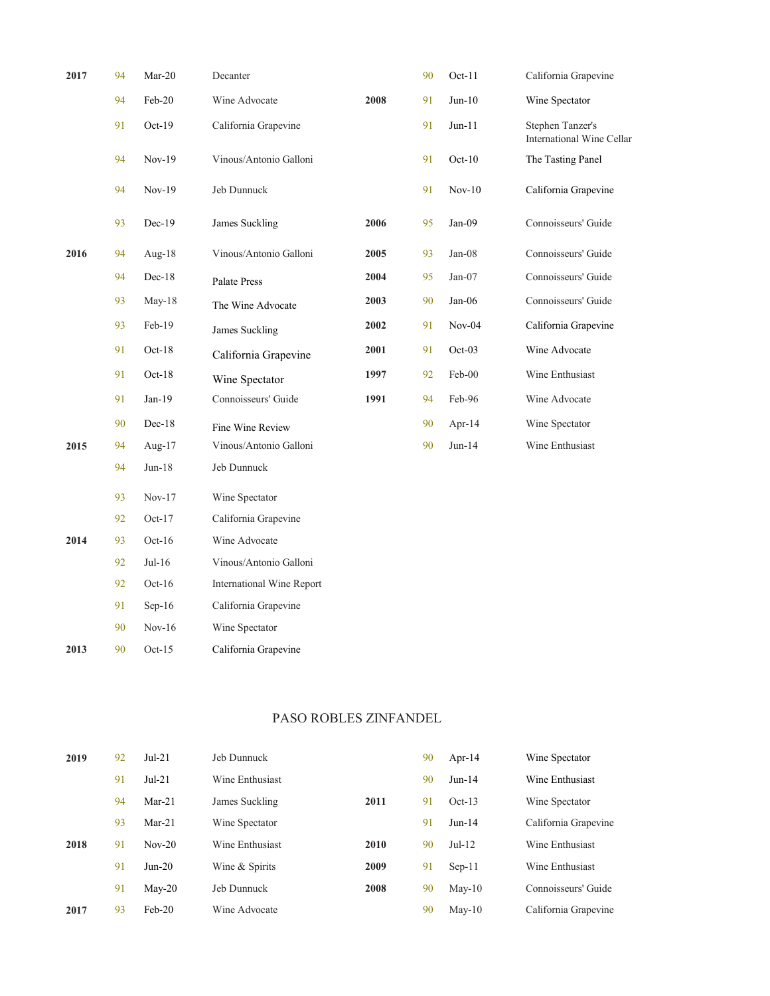| 2017 | 94 | $Mar-20$  | Decanter                  |      | 90 | $Oct-11$ | California Grapevine                          |
|------|----|-----------|---------------------------|------|----|----------|-----------------------------------------------|
|      | 94 | Feb-20    | Wine Advocate             | 2008 | 91 | $Jun-10$ | Wine Spectator                                |
|      | 91 | $Oct-19$  | California Grapevine      |      | 91 | $Jun-11$ | Stephen Tanzer's<br>International Wine Cellar |
|      | 94 | $Nov-19$  | Vinous/Antonio Galloni    |      | 91 | $Oct-10$ | The Tasting Panel                             |
|      | 94 | $Nov-19$  | Jeb Dunnuck               |      | 91 | $Nov-10$ | California Grapevine                          |
|      | 93 | $Dec-19$  | James Suckling            | 2006 | 95 | $Jan-09$ | Connoisseurs' Guide                           |
| 2016 | 94 | Aug- $18$ | Vinous/Antonio Galloni    | 2005 | 93 | $Jan-08$ | Connoisseurs' Guide                           |
|      | 94 | $Dec-18$  | Palate Press              | 2004 | 95 | $Jan-07$ | Connoisseurs' Guide                           |
|      | 93 | $May-18$  | The Wine Advocate         | 2003 | 90 | $Jan-06$ | Connoisseurs' Guide                           |
|      | 93 | Feb-19    | <b>James Suckling</b>     | 2002 | 91 | $Nov-04$ | California Grapevine                          |
|      | 91 | $Oct-18$  | California Grapevine      | 2001 | 91 | $Oct-03$ | Wine Advocate                                 |
|      | 91 | $Oct-18$  | Wine Spectator            | 1997 | 92 | Feb-00   | Wine Enthusiast                               |
|      | 91 | $Jan-19$  | Connoisseurs' Guide       | 1991 | 94 | Feb-96   | Wine Advocate                                 |
|      | 90 | $Dec-18$  | Fine Wine Review          |      | 90 | Apr-14   | Wine Spectator                                |
| 2015 | 94 | Aug-17    | Vinous/Antonio Galloni    |      | 90 | $Jun-14$ | Wine Enthusiast                               |
|      | 94 | $Jun-18$  | Jeb Dunnuck               |      |    |          |                                               |
|      | 93 | $Nov-17$  | Wine Spectator            |      |    |          |                                               |
|      | 92 | $Oct-17$  | California Grapevine      |      |    |          |                                               |
| 2014 | 93 | $Oct-16$  | Wine Advocate             |      |    |          |                                               |
|      | 92 | $Jul-16$  | Vinous/Antonio Galloni    |      |    |          |                                               |
|      | 92 | $Oct-16$  | International Wine Report |      |    |          |                                               |
|      | 91 | $Sep-16$  | California Grapevine      |      |    |          |                                               |
|      | 90 | $Nov-16$  | Wine Spectator            |      |    |          |                                               |
| 2013 | 90 | $Oct-15$  | California Grapevine      |      |    |          |                                               |

# PASO ROBLES ZINFANDEL

| 2019 | 92 | $Jul-21$ | Jeb Dunnuck     |      | 90 | Apr-14          | Wine Spectator       |
|------|----|----------|-----------------|------|----|-----------------|----------------------|
|      | 91 | $Jul-21$ | Wine Enthusiast |      | 90 | $Jun-14$        | Wine Enthusiast      |
|      | 94 | $Mar-21$ | James Suckling  | 2011 | 91 | $Oct-13$        | Wine Spectator       |
|      | 93 | $Mar-21$ | Wine Spectator  |      | 91 | $Jun-14$        | California Grapevine |
| 2018 | 91 | $Nov-20$ | Wine Enthusiast | 2010 | 90 | $Jul-12$        | Wine Enthusiast      |
|      | 91 | $Jun-20$ | Wine & Spirits  | 2009 | 91 | $Sep-11$        | Wine Enthusiast      |
|      | 91 | $May-20$ | Jeb Dunnuck     | 2008 | 90 | $\text{May-}10$ | Connoisseurs' Guide  |
| 2017 | 93 | $Feb-20$ | Wine Advocate   |      | 90 | $\text{May-}10$ | California Grapevine |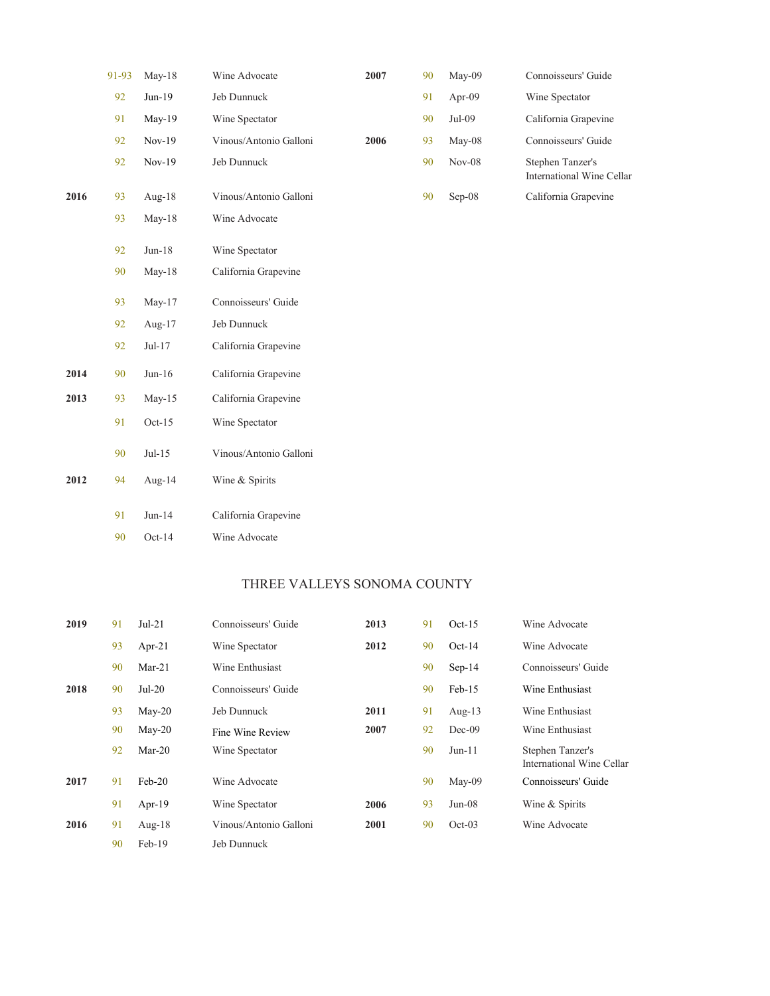| 91-93 | $May-18$  | Wine Advocate          | 2007                 | 90 | May-09   | Connoisseurs' Guide                           |
|-------|-----------|------------------------|----------------------|----|----------|-----------------------------------------------|
| 92    | Jun-19    | Jeb Dunnuck            |                      | 91 | Apr-09   | Wine Spectator                                |
| 91    | May-19    | Wine Spectator         |                      | 90 | Jul-09   | California Grapevine                          |
| 92    | $Nov-19$  | Vinous/Antonio Galloni | 2006                 | 93 | May-08   | Connoisseurs' Guide                           |
| 92    | $Nov-19$  | Jeb Dunnuck            |                      | 90 | $Nov-08$ | Stephen Tanzer's<br>International Wine Cellar |
| 93    | Aug- $18$ | Vinous/Antonio Galloni |                      | 90 | $Sep-08$ | California Grapevine                          |
| 93    | $May-18$  | Wine Advocate          |                      |    |          |                                               |
| 92    | $Jun-18$  | Wine Spectator         |                      |    |          |                                               |
|       |           |                        |                      |    |          |                                               |
| 93    | $May-17$  | Connoisseurs' Guide    |                      |    |          |                                               |
| 92    | Aug-17    | Jeb Dunnuck            |                      |    |          |                                               |
| 92    | Jul-17    | California Grapevine   |                      |    |          |                                               |
| 90    | $Jun-16$  | California Grapevine   |                      |    |          |                                               |
| 93    | May-15    | California Grapevine   |                      |    |          |                                               |
| 91    | $Oct-15$  | Wine Spectator         |                      |    |          |                                               |
| 90    | $Jul-15$  | Vinous/Antonio Galloni |                      |    |          |                                               |
| 94    | Aug-14    | Wine & Spirits         |                      |    |          |                                               |
| 91    | $Jun-14$  | California Grapevine   |                      |    |          |                                               |
| 90    | $Oct-14$  | Wine Advocate          |                      |    |          |                                               |
|       | 90        | May-18                 | California Grapevine |    |          |                                               |

# THREE VALLEYS SONOMA COUNTY

| 2019 | 91 | $Jul-21$  | Connoisseurs' Guide    | 2013 | 91 | $Oct-15$  | Wine Advocate                                 |
|------|----|-----------|------------------------|------|----|-----------|-----------------------------------------------|
|      | 93 | Apr-21    | Wine Spectator         | 2012 | 90 | $Oct-14$  | Wine Advocate                                 |
|      | 90 | $Mar-21$  | Wine Enthusiast        |      | 90 | $Sep-14$  | Connoisseurs' Guide                           |
| 2018 | 90 | $Jul-20$  | Connoisseurs' Guide    |      | 90 | $Feb-15$  | Wine Enthusiast                               |
|      | 93 | $May-20$  | Jeb Dunnuck            | 2011 | 91 | Aug- $13$ | Wine Enthusiast                               |
|      | 90 | $May-20$  | Fine Wine Review       | 2007 | 92 | $Dec-09$  | Wine Enthusiast                               |
|      | 92 | $Mar-20$  | Wine Spectator         |      | 90 | $Jun-11$  | Stephen Tanzer's<br>International Wine Cellar |
| 2017 | 91 | $Feb-20$  | Wine Advocate          |      | 90 | $May-09$  | Connoisseurs' Guide                           |
|      | 91 | Apr- $19$ | Wine Spectator         | 2006 | 93 | $Jun-08$  | Wine & Spirits                                |
| 2016 | 91 | Aug- $18$ | Vinous/Antonio Galloni | 2001 | 90 | $Oct-03$  | Wine Advocate                                 |
|      | 90 | $Feb-19$  | Jeb Dunnuck            |      |    |           |                                               |